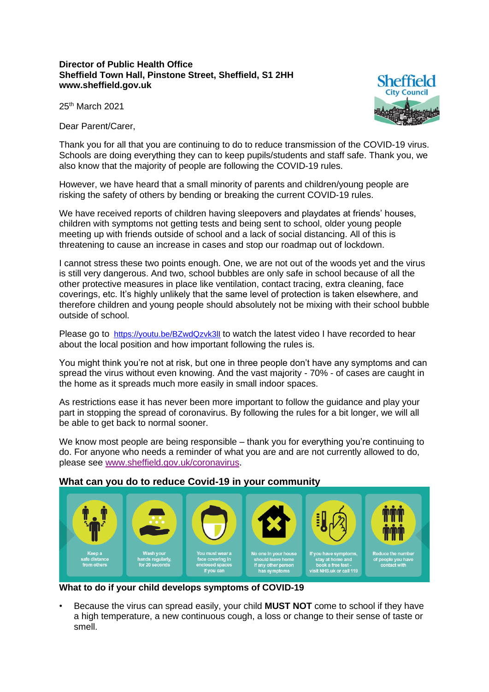## **Director of Public Health Office Sheffield Town Hall, Pinstone Street, Sheffield, S1 2HH www.sheffield.gov.uk**



25th March 2021

Dear Parent/Carer,

Thank you for all that you are continuing to do to reduce transmission of the COVID-19 virus. Schools are doing everything they can to keep pupils/students and staff safe. Thank you, we also know that the majority of people are following the COVID-19 rules.

However, we have heard that a small minority of parents and children/young people are risking the safety of others by bending or breaking the current COVID-19 rules.

We have received reports of children having sleepovers and playdates at friends' houses, children with symptoms not getting tests and being sent to school, older young people meeting up with friends outside of school and a lack of social distancing. All of this is threatening to cause an increase in cases and stop our roadmap out of lockdown.

I cannot stress these two points enough. One, we are not out of the woods yet and the virus is still very dangerous. And two, school bubbles are only safe in school because of all the other protective measures in place like ventilation, contact tracing, extra cleaning, face coverings, etc. It's highly unlikely that the same level of protection is taken elsewhere, and therefore children and young people should absolutely not be mixing with their school bubble outside of school.

Please go to <https://youtu.be/BZwdQzvk3lI> to watch the latest video I have recorded to hear about the local position and how important following the rules is.

You might think you're not at risk, but one in three people don't have any symptoms and can spread the virus without even knowing. And the vast majority - 70% - of cases are caught in the home as it spreads much more easily in small indoor spaces.

As restrictions ease it has never been more important to follow the guidance and play your part in stopping the spread of coronavirus. By following the rules for a bit longer, we will all be able to get back to normal sooner.

We know most people are being responsible – thank you for everything you're continuing to do. For anyone who needs a reminder of what you are and are not currently allowed to do, please see [www.sheffield.gov.uk/coronavirus.](http://www.sheffield.gov.uk/coronavirus)

## **What can you do to reduce Covid-19 in your community**



**What to do if your child develops symptoms of COVID-19**

• Because the virus can spread easily, your child **MUST NOT** come to school if they have a high temperature, a new continuous cough, a loss or change to their sense of taste or smell.